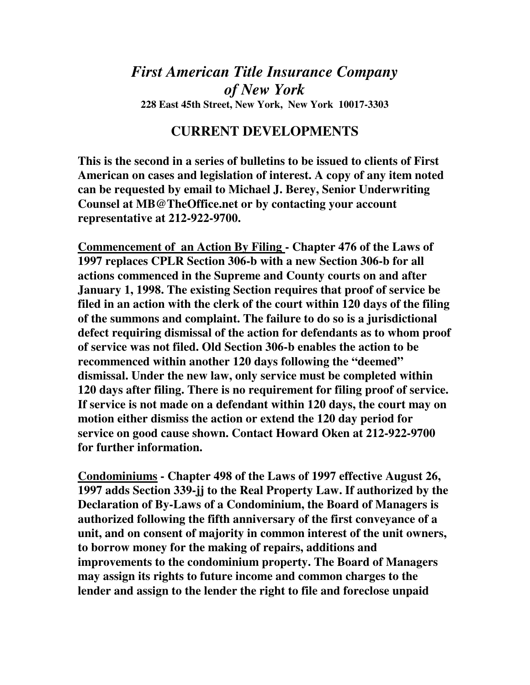## *First American Title Insurance Company of New York*  **228 East 45th Street, New York, New York 10017-3303**

## **CURRENT DEVELOPMENTS**

**This is the second in a series of bulletins to be issued to clients of First American on cases and legislation of interest. A copy of any item noted can be requested by email to Michael J. Berey, Senior Underwriting Counsel at MB@TheOffice.net or by contacting your account representative at 212-922-9700.** 

**Commencement of an Action By Filing - Chapter 476 of the Laws of 1997 replaces CPLR Section 306-b with a new Section 306-b for all actions commenced in the Supreme and County courts on and after January 1, 1998. The existing Section requires that proof of service be filed in an action with the clerk of the court within 120 days of the filing of the summons and complaint. The failure to do so is a jurisdictional defect requiring dismissal of the action for defendants as to whom proof of service was not filed. Old Section 306-b enables the action to be recommenced within another 120 days following the "deemed" dismissal. Under the new law, only service must be completed within 120 days after filing. There is no requirement for filing proof of service. If service is not made on a defendant within 120 days, the court may on motion either dismiss the action or extend the 120 day period for service on good cause shown. Contact Howard Oken at 212-922-9700 for further information.** 

**Condominiums - Chapter 498 of the Laws of 1997 effective August 26, 1997 adds Section 339-jj to the Real Property Law. If authorized by the Declaration of By-Laws of a Condominium, the Board of Managers is authorized following the fifth anniversary of the first conveyance of a unit, and on consent of majority in common interest of the unit owners, to borrow money for the making of repairs, additions and improvements to the condominium property. The Board of Managers may assign its rights to future income and common charges to the lender and assign to the lender the right to file and foreclose unpaid**